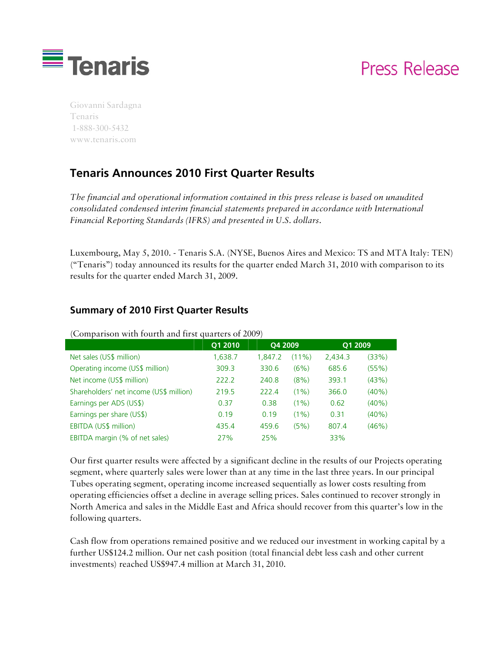

# Press Release

Giovanni Sardagna Tenaris 1-888-300-5432 www.tenaris.com

## **Tenaris Announces 2010 First Quarter Results**

*The financial and operational information contained in this press release is based on unaudited consolidated condensed interim financial statements prepared in accordance with International Financial Reporting Standards (IFRS) and presented in U.S. dollars.* 

Luxembourg, May 5, 2010. - Tenaris S.A. (NYSE, Buenos Aires and Mexico: TS and MTA Italy: TEN) ("Tenaris") today announced its results for the quarter ended March 31, 2010 with comparison to its results for the quarter ended March 31, 2009.

### **Summary of 2010 First Quarter Results**

| $\frac{1}{2}$ comparison when routen and mor quarters or $\frac{1}{2}$ |         |         |          |         |          |
|------------------------------------------------------------------------|---------|---------|----------|---------|----------|
|                                                                        | Q1 2010 | Q4 2009 |          | Q1 2009 |          |
| Net sales (US\$ million)                                               | 1,638.7 | 1.847.2 | $(11\%)$ | 2,434.3 | (33%)    |
| Operating income (US\$ million)                                        | 309.3   | 330.6   | (6%)     | 685.6   | (55%)    |
| Net income (US\$ million)                                              | 222.2   | 240.8   | $(8\%)$  | 393.1   | (43%)    |
| Shareholders' net income (US\$ million)                                | 219.5   | 222.4   | $(1\%)$  | 366.0   | $(40\%)$ |
| Earnings per ADS (US\$)                                                | 0.37    | 0.38    | $(1\%)$  | 0.62    | $(40\%)$ |
| Earnings per share (US\$)                                              | 0.19    | 0.19    | $(1\%)$  | 0.31    | $(40\%)$ |
| EBITDA (US\$ million)                                                  | 435.4   | 459.6   | (5%)     | 807.4   | (46%)    |
| EBITDA margin (% of net sales)                                         | 27%     | 25%     |          | 33%     |          |

#### (Comparison with fourth and first quarters of 2009)

Our first quarter results were affected by a significant decline in the results of our Projects operating segment, where quarterly sales were lower than at any time in the last three years. In our principal Tubes operating segment, operating income increased sequentially as lower costs resulting from operating efficiencies offset a decline in average selling prices. Sales continued to recover strongly in North America and sales in the Middle East and Africa should recover from this quarter's low in the following quarters.

Cash flow from operations remained positive and we reduced our investment in working capital by a further US\$124.2 million. Our net cash position (total financial debt less cash and other current investments) reached US\$947.4 million at March 31, 2010.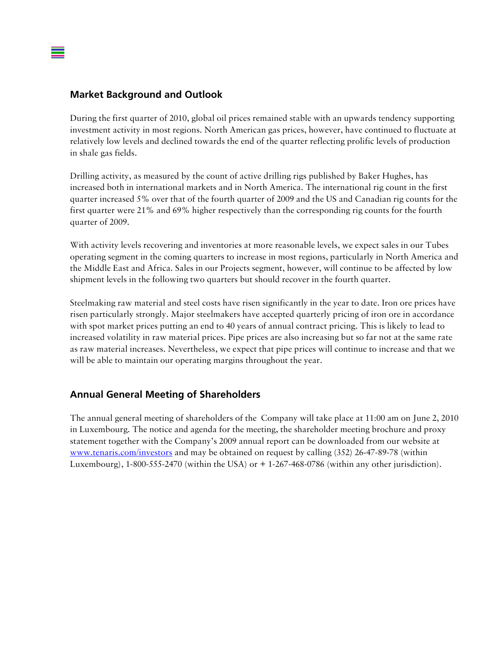#### **Market Background and Outlook**

During the first quarter of 2010, global oil prices remained stable with an upwards tendency supporting investment activity in most regions. North American gas prices, however, have continued to fluctuate at relatively low levels and declined towards the end of the quarter reflecting prolific levels of production in shale gas fields.

Drilling activity, as measured by the count of active drilling rigs published by Baker Hughes, has increased both in international markets and in North America. The international rig count in the first quarter increased 5% over that of the fourth quarter of 2009 and the US and Canadian rig counts for the first quarter were 21% and 69% higher respectively than the corresponding rig counts for the fourth quarter of 2009.

With activity levels recovering and inventories at more reasonable levels, we expect sales in our Tubes operating segment in the coming quarters to increase in most regions, particularly in North America and the Middle East and Africa. Sales in our Projects segment, however, will continue to be affected by low shipment levels in the following two quarters but should recover in the fourth quarter.

Steelmaking raw material and steel costs have risen significantly in the year to date. Iron ore prices have risen particularly strongly. Major steelmakers have accepted quarterly pricing of iron ore in accordance with spot market prices putting an end to 40 years of annual contract pricing. This is likely to lead to increased volatility in raw material prices. Pipe prices are also increasing but so far not at the same rate as raw material increases. Nevertheless, we expect that pipe prices will continue to increase and that we will be able to maintain our operating margins throughout the year.

#### **Annual General Meeting of Shareholders**

The annual general meeting of shareholders of the Company will take place at 11:00 am on June 2, 2010 in Luxembourg. The notice and agenda for the meeting, the shareholder meeting brochure and proxy statement together with the Company's 2009 annual report can be downloaded from our website at www.tenaris.com/investors and may be obtained on request by calling (352) 26-47-89-78 (within Luxembourg),  $1-800-555-2470$  (within the USA) or  $+1-267-468-0786$  (within any other jurisdiction).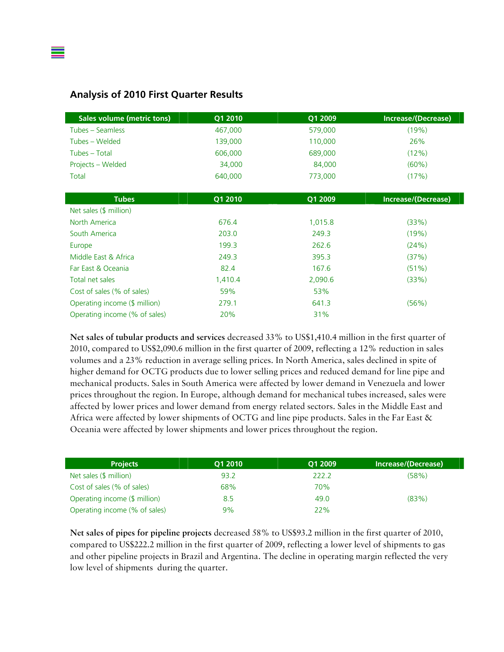

| <b>Sales volume (metric tons)</b> | Q1 2010 | Q1 2009 | Increase/(Decrease) |
|-----------------------------------|---------|---------|---------------------|
| Tubes – Seamless                  | 467,000 | 579,000 | (19%)               |
| Tubes - Welded                    | 139,000 | 110,000 | 26%                 |
| Tubes - Total                     | 606,000 | 689,000 | (12%)               |
| Projects - Welded                 | 34,000  | 84,000  | $(60\%)$            |
| Total                             | 640,000 | 773,000 | (17%)               |
|                                   |         |         |                     |
| <b>Tubes</b>                      | Q1 2010 | Q1 2009 | Increase/(Decrease) |
| Net sales (\$ million)            |         |         |                     |
| North America                     | 676.4   | 1,015.8 | (33%)               |
| South America                     | 203.0   | 249.3   | (19%)               |
| Europe                            | 199.3   | 262.6   | (24%)               |
| Middle East & Africa              | 249.3   | 395.3   | (37%)               |
| Far East & Oceania                | 82.4    | 167.6   | $(51\%)$            |
| Total net sales                   | 1,410.4 | 2,090.6 | (33%)               |
| Cost of sales (% of sales)        | 59%     | 53%     |                     |
| Operating income (\$ million)     | 279.1   | 641.3   | (56%)               |
| Operating income (% of sales)     | 20%     | 31%     |                     |

**Net sales of tubular products and services** decreased 33% to US\$1,410.4 million in the first quarter of 2010, compared to US\$2,090.6 million in the first quarter of 2009, reflecting a 12% reduction in sales volumes and a 23% reduction in average selling prices. In North America, sales declined in spite of higher demand for OCTG products due to lower selling prices and reduced demand for line pipe and mechanical products. Sales in South America were affected by lower demand in Venezuela and lower prices throughout the region. In Europe, although demand for mechanical tubes increased, sales were affected by lower prices and lower demand from energy related sectors. Sales in the Middle East and Africa were affected by lower shipments of OCTG and line pipe products. Sales in the Far East & Oceania were affected by lower shipments and lower prices throughout the region.

| <b>Projects</b>               | O1 2010 | O1 2009 | Increase/(Decrease) |
|-------------------------------|---------|---------|---------------------|
| Net sales (\$ million)        | 93.2    | 222.2   | (58%)               |
| Cost of sales (% of sales)    | 68%     | 70%     |                     |
| Operating income (\$ million) | 8.5     | 49.0    | (83%)               |
| Operating income (% of sales) | 9%      | 22%     |                     |

**Net sales of pipes for pipeline projects** decreased 58% to US\$93.2 million in the first quarter of 2010, compared to US\$222.2 million in the first quarter of 2009, reflecting a lower level of shipments to gas and other pipeline projects in Brazil and Argentina. The decline in operating margin reflected the very low level of shipments during the quarter.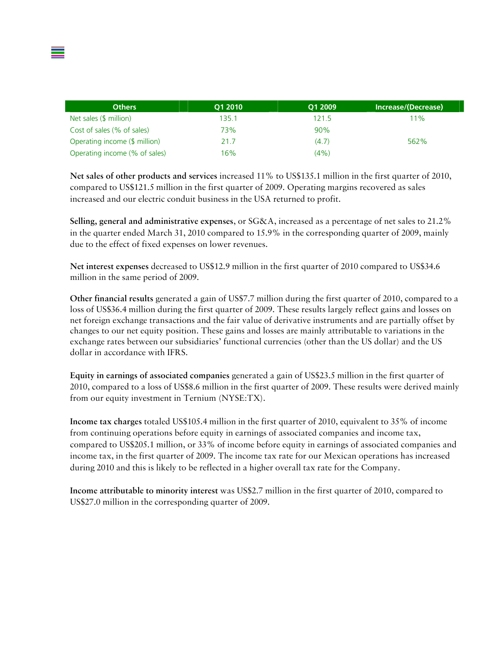| <b>Others</b>                 | O1 2010 | O1 2009 | Increase/(Decrease) |
|-------------------------------|---------|---------|---------------------|
| Net sales (\$ million)        | 135.1   | 121.5   | 11%                 |
| Cost of sales (% of sales)    | 73%     | 90%     |                     |
| Operating income (\$ million) | 21.7    | (4.7)   | 562%                |
| Operating income (% of sales) | 16%     | (4%)    |                     |

**Net sales of other products and services** increased 11% to US\$135.1 million in the first quarter of 2010, compared to US\$121.5 million in the first quarter of 2009. Operating margins recovered as sales increased and our electric conduit business in the USA returned to profit.

**Selling, general and administrative expenses**, or SG&A, increased as a percentage of net sales to 21.2% in the quarter ended March 31, 2010 compared to 15.9% in the corresponding quarter of 2009, mainly due to the effect of fixed expenses on lower revenues.

**Net interest expenses** decreased to US\$12.9 million in the first quarter of 2010 compared to US\$34.6 million in the same period of 2009.

**Other financial results** generated a gain of US\$7.7 million during the first quarter of 2010, compared to a loss of US\$36.4 million during the first quarter of 2009. These results largely reflect gains and losses on net foreign exchange transactions and the fair value of derivative instruments and are partially offset by changes to our net equity position. These gains and losses are mainly attributable to variations in the exchange rates between our subsidiaries' functional currencies (other than the US dollar) and the US dollar in accordance with IFRS.

**Equity in earnings of associated companies** generated a gain of US\$23.5 million in the first quarter of 2010, compared to a loss of US\$8.6 million in the first quarter of 2009. These results were derived mainly from our equity investment in Ternium (NYSE:TX).

**Income tax charges** totaled US\$105.4 million in the first quarter of 2010, equivalent to 35% of income from continuing operations before equity in earnings of associated companies and income tax, compared to US\$205.1 million, or 33% of income before equity in earnings of associated companies and income tax, in the first quarter of 2009. The income tax rate for our Mexican operations has increased during 2010 and this is likely to be reflected in a higher overall tax rate for the Company.

**Income attributable to minority interest** was US\$2.7 million in the first quarter of 2010, compared to US\$27.0 million in the corresponding quarter of 2009.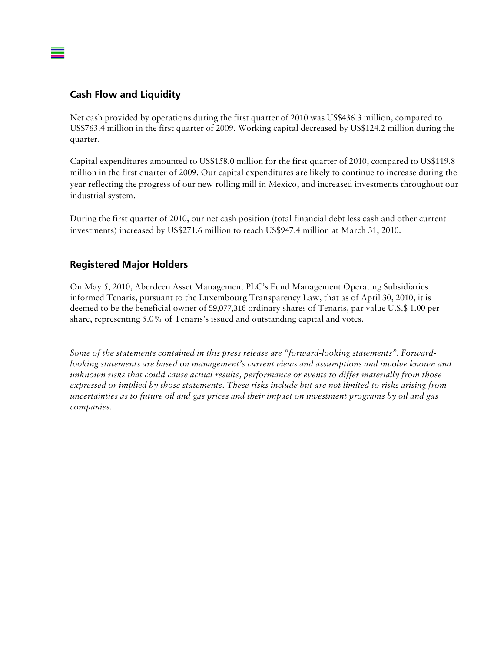#### **Cash Flow and Liquidity**

Net cash provided by operations during the first quarter of 2010 was US\$436.3 million, compared to US\$763.4 million in the first quarter of 2009. Working capital decreased by US\$124.2 million during the quarter.

Capital expenditures amounted to US\$158.0 million for the first quarter of 2010, compared to US\$119.8 million in the first quarter of 2009. Our capital expenditures are likely to continue to increase during the year reflecting the progress of our new rolling mill in Mexico, and increased investments throughout our industrial system.

During the first quarter of 2010, our net cash position (total financial debt less cash and other current investments) increased by US\$271.6 million to reach US\$947.4 million at March 31, 2010.

#### **Registered Major Holders**

On May 5, 2010, Aberdeen Asset Management PLC's Fund Management Operating Subsidiaries informed Tenaris, pursuant to the Luxembourg Transparency Law, that as of April 30, 2010, it is deemed to be the beneficial owner of 59,077,316 ordinary shares of Tenaris, par value U.S.\$ 1.00 per share, representing 5.0% of Tenaris's issued and outstanding capital and votes.

*Some of the statements contained in this press release are "forward-looking statements". Forwardlooking statements are based on management's current views and assumptions and involve known and unknown risks that could cause actual results, performance or events to differ materially from those expressed or implied by those statements. These risks include but are not limited to risks arising from uncertainties as to future oil and gas prices and their impact on investment programs by oil and gas companies.*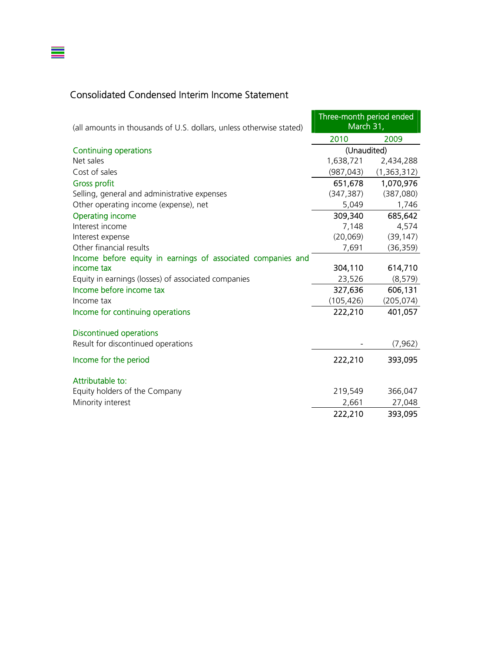## Consolidated Condensed Interim Income Statement

 $\equiv$ 

| (all amounts in thousands of U.S. dollars, unless otherwise stated) | Three-month period ended<br>March 31, |               |  |
|---------------------------------------------------------------------|---------------------------------------|---------------|--|
|                                                                     | 2010                                  | 2009          |  |
| <b>Continuing operations</b>                                        | (Unaudited)                           |               |  |
| Net sales                                                           | 1,638,721                             | 2,434,288     |  |
| Cost of sales                                                       | (987, 043)                            | (1, 363, 312) |  |
| <b>Gross profit</b>                                                 | 651,678                               | 1,070,976     |  |
| Selling, general and administrative expenses                        | (347, 387)                            | (387,080)     |  |
| Other operating income (expense), net                               | 5,049                                 | 1,746         |  |
| <b>Operating income</b>                                             | 309,340                               | 685,642       |  |
| Interest income                                                     | 7,148                                 | 4,574         |  |
| Interest expense                                                    | (20, 069)                             | (39, 147)     |  |
| Other financial results                                             | 7,691                                 | (36, 359)     |  |
| Income before equity in earnings of associated companies and        |                                       |               |  |
| income tax                                                          | 304,110                               | 614,710       |  |
| Equity in earnings (losses) of associated companies                 | 23,526                                | (8, 579)      |  |
| Income before income tax                                            | 327,636                               | 606,131       |  |
| Income tax                                                          | (105, 426)                            | (205, 074)    |  |
| Income for continuing operations                                    | 222,210                               | 401,057       |  |
| <b>Discontinued operations</b>                                      |                                       |               |  |
| Result for discontinued operations                                  |                                       | (7, 962)      |  |
| Income for the period                                               | 222,210                               | 393,095       |  |
| Attributable to:                                                    |                                       |               |  |
| Equity holders of the Company                                       | 219,549                               | 366,047       |  |
| Minority interest                                                   | 2,661                                 | 27,048        |  |
|                                                                     | 222,210                               | 393,095       |  |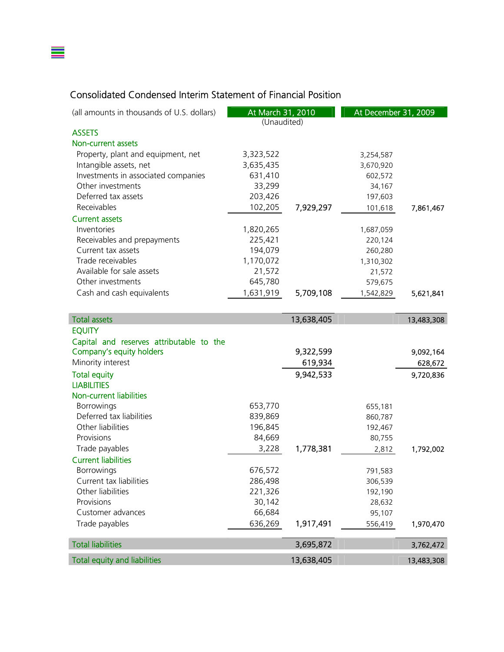## Consolidated Condensed Interim Statement of Financial Position

≣

| (all amounts in thousands of U.S. dollars) | At March 31, 2010<br>(Unaudited) |            | At December 31, 2009 |            |
|--------------------------------------------|----------------------------------|------------|----------------------|------------|
| <b>ASSETS</b>                              |                                  |            |                      |            |
| Non-current assets                         |                                  |            |                      |            |
| Property, plant and equipment, net         | 3,323,522                        |            | 3,254,587            |            |
| Intangible assets, net                     | 3,635,435                        |            | 3,670,920            |            |
| Investments in associated companies        | 631,410                          |            | 602,572              |            |
| Other investments                          | 33,299                           |            | 34,167               |            |
| Deferred tax assets                        | 203,426                          |            | 197,603              |            |
| Receivables                                | 102,205                          | 7,929,297  | 101,618              | 7,861,467  |
| <b>Current assets</b>                      |                                  |            |                      |            |
| Inventories                                | 1,820,265                        |            | 1,687,059            |            |
| Receivables and prepayments                | 225,421                          |            | 220,124              |            |
| Current tax assets                         | 194,079                          |            | 260,280              |            |
| Trade receivables                          | 1,170,072                        |            | 1,310,302            |            |
| Available for sale assets                  | 21,572                           |            | 21,572               |            |
| Other investments                          | 645,780                          |            | 579,675              |            |
| Cash and cash equivalents                  | 1,631,919                        | 5,709,108  | 1,542,829            | 5,621,841  |
|                                            |                                  |            |                      |            |
| <b>Total assets</b>                        |                                  | 13,638,405 |                      | 13,483,308 |
| <b>EQUITY</b>                              |                                  |            |                      |            |
| Capital and reserves attributable to the   |                                  |            |                      |            |
| Company's equity holders                   |                                  | 9,322,599  |                      | 9,092,164  |
| Minority interest                          |                                  | 619,934    |                      | 628,672    |
| <b>Total equity</b>                        |                                  | 9,942,533  |                      | 9,720,836  |
| <b>LIABILITIES</b>                         |                                  |            |                      |            |
| Non-current liabilities                    |                                  |            |                      |            |
| <b>Borrowings</b>                          | 653,770                          |            | 655,181              |            |
| Deferred tax liabilities                   | 839,869                          |            | 860,787              |            |
| Other liabilities                          | 196,845                          |            | 192,467              |            |
| Provisions                                 | 84,669                           |            | 80,755               |            |
| Trade payables                             | 3,228                            | 1,778,381  | 2,812                | 1,792,002  |
| <b>Current liabilities</b>                 |                                  |            |                      |            |
| Borrowings                                 | 676,572                          |            | 791,583              |            |
| Current tax liabilities                    | 286,498                          |            | 306,539              |            |
| Other liabilities                          | 221,326                          |            | 192,190              |            |
| Provisions                                 | 30,142                           |            | 28,632               |            |
| Customer advances                          | 66,684                           |            | 95,107               |            |
| Trade payables                             | 636,269                          | 1,917,491  | 556,419              | 1,970,470  |
|                                            |                                  |            |                      |            |
| <b>Total liabilities</b>                   |                                  | 3,695,872  |                      | 3,762,472  |
| <b>Total equity and liabilities</b>        |                                  | 13,638,405 |                      | 13,483,308 |